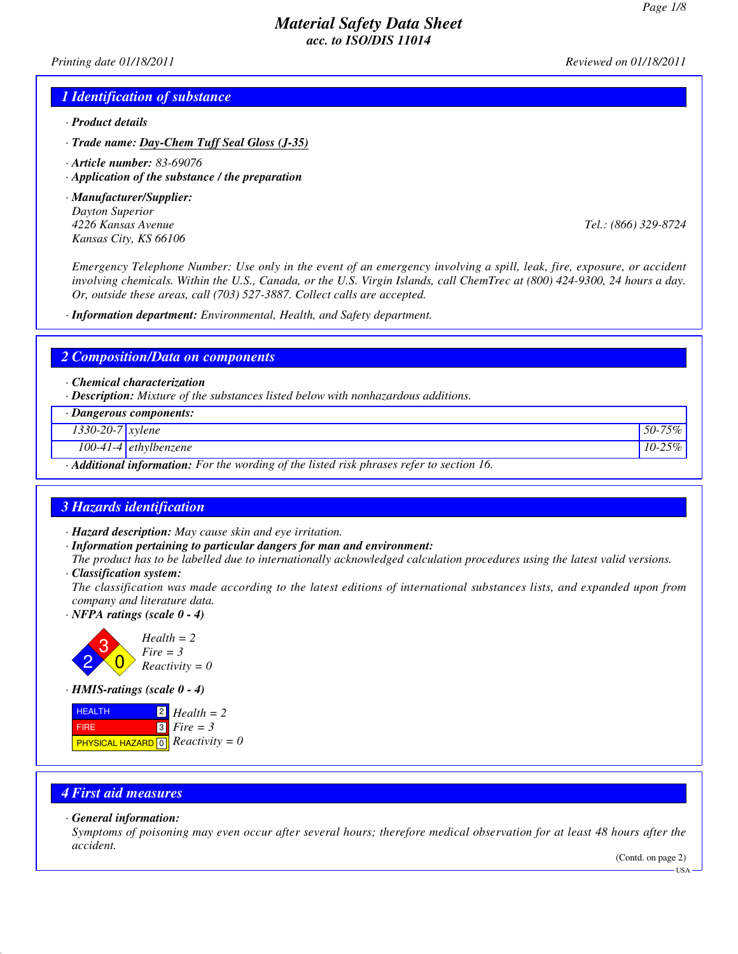*Printing date 01/18/2011 Reviewed on 01/18/2011*

### *1 Identification of substance*

- *· Product details*
- *· Trade name: Day-Chem Tuff Seal Gloss (J-35)*
- *· Article number: 83-69076*
- *· Application of the substance / the preparation*
- *· Manufacturer/Supplier: Dayton Superior 4226 Kansas Avenue Tel.: (866) 329-8724 Kansas City, KS 66106*

*Emergency Telephone Number: Use only in the event of an emergency involving a spill, leak, fire, exposure, or accident involving chemicals. Within the U.S., Canada, or the U.S. Virgin Islands, call ChemTrec at (800) 424-9300, 24 hours a day. Or, outside these areas, call (703) 527-3887. Collect calls are accepted.*

*· Information department: Environmental, Health, and Safety department.*

### *2 Composition/Data on components*

*· Chemical characterization*

*· Description: Mixture of the substances listed below with nonhazardous additions.*

|                                                                                                        | · Dangerous components: |             |
|--------------------------------------------------------------------------------------------------------|-------------------------|-------------|
| $1330 - 20 - 7$ <i>xylene</i>                                                                          |                         | 50-75%      |
|                                                                                                        | $100-41-4$ ethylbenzene | $10 - 25\%$ |
| $\cdot$ <b>Additional information:</b> For the wording of the listed risk phrases refer to section 16. |                         |             |

### *3 Hazards identification*

- *· Hazard description: May cause skin and eye irritation.*
- *· Information pertaining to particular dangers for man and environment:*

*The product has to be labelled due to internationally acknowledged calculation procedures using the latest valid versions. · Classification system:*

*The classification was made according to the latest editions of international substances lists, and expanded upon from company and literature data.*

*· NFPA ratings (scale 0 - 4)*



*· HMIS-ratings (scale 0 - 4)*

| <b>HEALTH</b>                                            | $\mathbf{12}$ Health = 2 |
|----------------------------------------------------------|--------------------------|
| <b>FIRE</b>                                              | $13$ Fire = 3            |
| <b>PHYSICAL HAZARD</b> $\boxed{0}$ <i>Reactivity</i> = 0 |                          |

# *4 First aid measures*

#### *· General information:*

*Symptoms of poisoning may even occur after several hours; therefore medical observation for at least 48 hours after the accident.*

(Contd. on page 2)

 $-$ HSA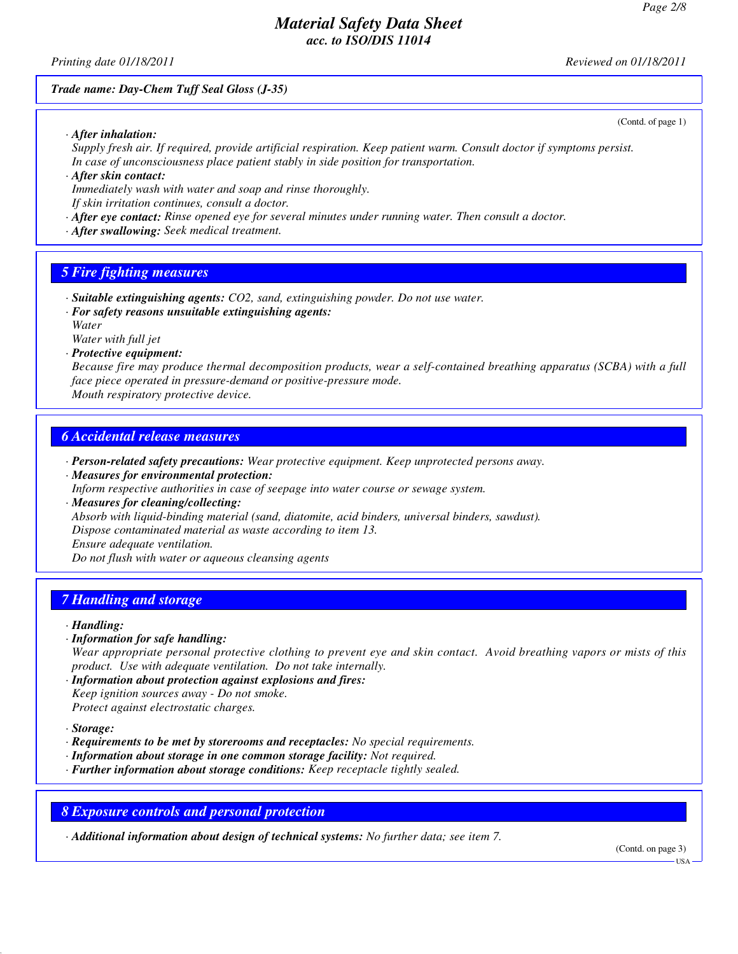(Contd. of page 1)

# *Material Safety Data Sheet acc. to ISO/DIS 11014*

*Printing date 01/18/2011 Reviewed on 01/18/2011*

*Trade name: Day-Chem Tuff Seal Gloss (J-35)*

*· After inhalation:*

*Supply fresh air. If required, provide artificial respiration. Keep patient warm. Consult doctor if symptoms persist. In case of unconsciousness place patient stably in side position for transportation.*

*· After skin contact: Immediately wash with water and soap and rinse thoroughly.*

*If skin irritation continues, consult a doctor.*

*· After eye contact: Rinse opened eye for several minutes under running water. Then consult a doctor.*

*· After swallowing: Seek medical treatment.*

# *5 Fire fighting measures*

*· Suitable extinguishing agents: CO2, sand, extinguishing powder. Do not use water.*

*· For safety reasons unsuitable extinguishing agents:*

*Water*

*Water with full jet · Protective equipment:*

*Because fire may produce thermal decomposition products, wear a self-contained breathing apparatus (SCBA) with a full face piece operated in pressure-demand or positive-pressure mode. Mouth respiratory protective device.*

*6 Accidental release measures*

- *· Person-related safety precautions: Wear protective equipment. Keep unprotected persons away.*
- *· Measures for environmental protection: Inform respective authorities in case of seepage into water course or sewage system. · Measures for cleaning/collecting:*

*Absorb with liquid-binding material (sand, diatomite, acid binders, universal binders, sawdust). Dispose contaminated material as waste according to item 13. Ensure adequate ventilation.*

*Do not flush with water or aqueous cleansing agents*

### *7 Handling and storage*

*· Handling:*

*· Information for safe handling: Wear appropriate personal protective clothing to prevent eye and skin contact. Avoid breathing vapors or mists of this product. Use with adequate ventilation. Do not take internally.*

*· Information about protection against explosions and fires: Keep ignition sources away - Do not smoke. Protect against electrostatic charges.*

*· Storage:*

- *· Requirements to be met by storerooms and receptacles: No special requirements.*
- *· Information about storage in one common storage facility: Not required.*

*· Further information about storage conditions: Keep receptacle tightly sealed.*

### *8 Exposure controls and personal protection*

*· Additional information about design of technical systems: No further data; see item 7.*

(Contd. on page 3)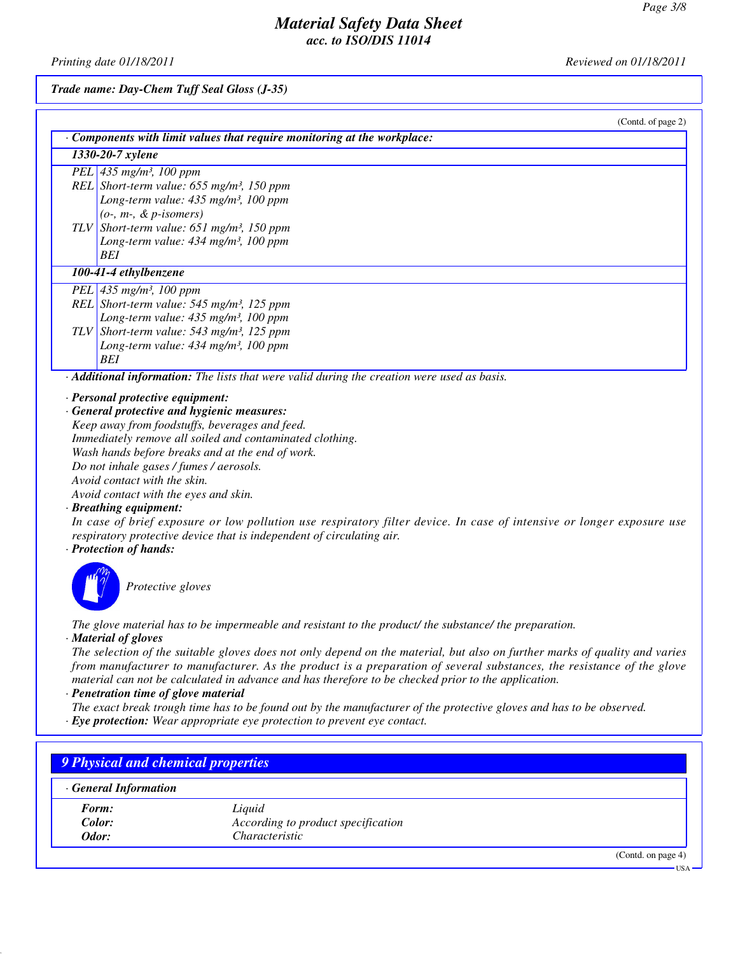*Printing date 01/18/2011 Reviewed on 01/18/2011*

*Trade name: Day-Chem Tuff Seal Gloss (J-35)*

| (Contd. of page 2)                                                                          |
|---------------------------------------------------------------------------------------------|
| $\cdot$ Components with limit values that require monitoring at the workplace:              |
| 1330-20-7 xylene                                                                            |
| PEL 435 mg/m <sup>3</sup> , 100 ppm                                                         |
| REL Short-term value: $655$ mg/m <sup>3</sup> , 150 ppm                                     |
| Long-term value: $435$ mg/m <sup>3</sup> , 100 ppm                                          |
| $(o-, m-, \& p\text{-}isomers)$                                                             |
| TLV Short-term value: 651 mg/m <sup>3</sup> , 150 ppm                                       |
| Long-term value: $434$ mg/m <sup>3</sup> , 100 ppm                                          |
| BEI                                                                                         |
| 100-41-4 ethylbenzene                                                                       |
| PEL $435 \, mg/m^3$ , 100 ppm                                                               |
| REL Short-term value: $545$ mg/m <sup>3</sup> , 125 ppm                                     |
| Long-term value: $435 \text{ mg/m}^3$ , 100 ppm                                             |
| TLV Short-term value: $543$ mg/m <sup>3</sup> , 125 ppm                                     |
| Long-term value: $434 \text{ mg/m}^3$ , 100 ppm                                             |
| BEI                                                                                         |
| · Additional information: The lists that were valid during the creation were used as basis. |
|                                                                                             |
| $\cdot$ Personal protective equipment:<br>· General protective and hygienic measures:       |
|                                                                                             |

*Keep away from foodstuffs, beverages and feed. Immediately remove all soiled and contaminated clothing. Wash hands before breaks and at the end of work. Do not inhale gases / fumes / aerosols. Avoid contact with the skin. Avoid contact with the eyes and skin.*

### *· Breathing equipment:*

*In case of brief exposure or low pollution use respiratory filter device. In case of intensive or longer exposure use respiratory protective device that is independent of circulating air.*

### *· Protection of hands:*



*Protective gloves*

*The glove material has to be impermeable and resistant to the product/ the substance/ the preparation.*

*· Material of gloves*

*The selection of the suitable gloves does not only depend on the material, but also on further marks of quality and varies from manufacturer to manufacturer. As the product is a preparation of several substances, the resistance of the glove material can not be calculated in advance and has therefore to be checked prior to the application.*

#### *· Penetration time of glove material*

*The exact break trough time has to be found out by the manufacturer of the protective gloves and has to be observed.*

*· Eye protection: Wear appropriate eye protection to prevent eye contact.*

| 9 Physical and chemical properties |                                    |                       |
|------------------------------------|------------------------------------|-----------------------|
| <b>General Information</b>         |                                    |                       |
| Form:                              | Liquid                             |                       |
| Color:                             | According to product specification |                       |
| Odor:                              | Characteristic                     |                       |
|                                    |                                    | (Contd. on page $4$ ) |
|                                    |                                    | $USA -$               |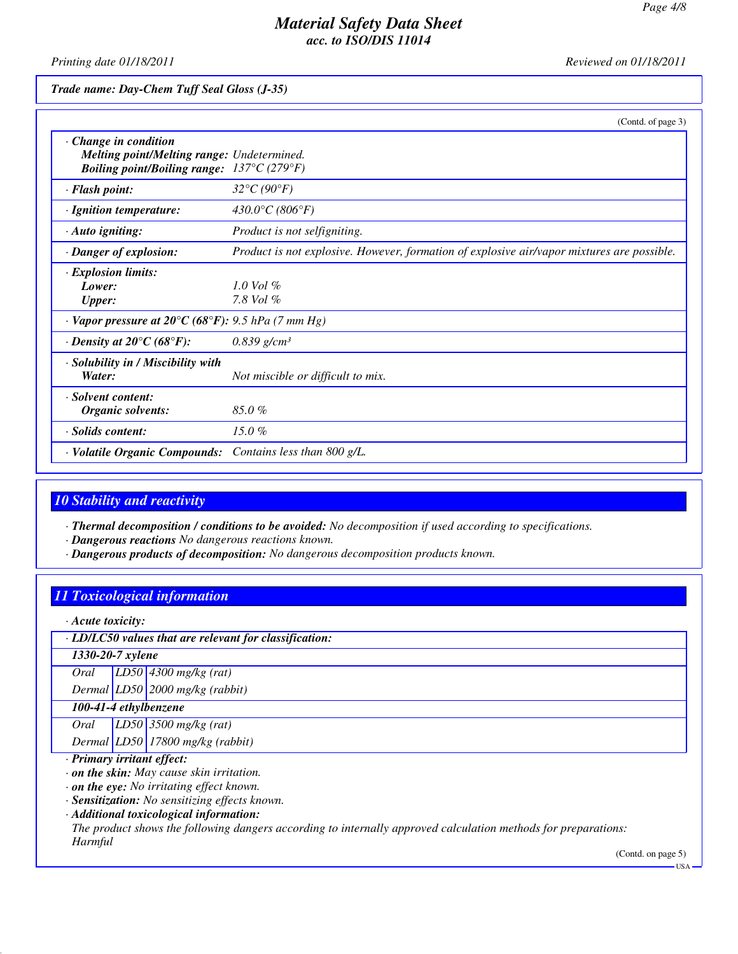*Printing date 01/18/2011 Reviewed on 01/18/2011*

*Trade name: Day-Chem Tuff Seal Gloss (J-35)*

|                                                                                                                                               | (Contd. of page 3)                                                                         |
|-----------------------------------------------------------------------------------------------------------------------------------------------|--------------------------------------------------------------------------------------------|
| $\cdot$ Change in condition<br>Melting point/Melting range: Undetermined.<br><b>Boiling point/Boiling range:</b> $137^{\circ}C(279^{\circ}F)$ |                                                                                            |
| · Flash point:                                                                                                                                | $32^{\circ}C(90^{\circ}F)$                                                                 |
| · Ignition temperature:                                                                                                                       | 430.0°C (806°F)                                                                            |
| · Auto igniting:                                                                                                                              | Product is not selfigniting.                                                               |
| · Danger of explosion:                                                                                                                        | Product is not explosive. However, formation of explosive air/vapor mixtures are possible. |
| · Explosion limits:<br>Lower:<br><b>Upper:</b>                                                                                                | $1.0$ Vol $%$<br>7.8 Vol $\%$                                                              |
| $\cdot$ Vapor pressure at 20°C (68°F): 9.5 hPa (7 mm Hg)                                                                                      |                                                                                            |
| $\cdot$ Density at 20 $\mathrm{^{\circ}C}$ (68 $\mathrm{^{\circ}F}$ ):                                                                        | $0.839$ g/cm <sup>3</sup>                                                                  |
| · Solubility in / Miscibility with<br>Water:                                                                                                  | Not miscible or difficult to mix.                                                          |
| · Solvent content:<br>Organic solvents:                                                                                                       | 85.0%                                                                                      |
| · Solids content:                                                                                                                             | 15.0 $%$                                                                                   |
| · Volatile Organic Compounds:                                                                                                                 | Contains less than 800 g/L.                                                                |

# *10 Stability and reactivity*

*· Thermal decomposition / conditions to be avoided: No decomposition if used according to specifications.*

*· Dangerous reactions No dangerous reactions known.*

*· Dangerous products of decomposition: No dangerous decomposition products known.*

# *11 Toxicological information*

*· Acute toxicity:*

*· LD/LC50 values that are relevant for classification:*

*1330-20-7 xylene*

*Oral LD50 4300 mg/kg (rat)*

*Dermal LD50 2000 mg/kg (rabbit)*

*100-41-4 ethylbenzene*

*Oral LD50 3500 mg/kg (rat)*

*Dermal LD50 17800 mg/kg (rabbit)*

*· Primary irritant effect:*

*· on the skin: May cause skin irritation.*

*· on the eye: No irritating effect known.*

*· Sensitization: No sensitizing effects known.*

*· Additional toxicological information:*

*The product shows the following dangers according to internally approved calculation methods for preparations: Harmful*

(Contd. on page 5)

USA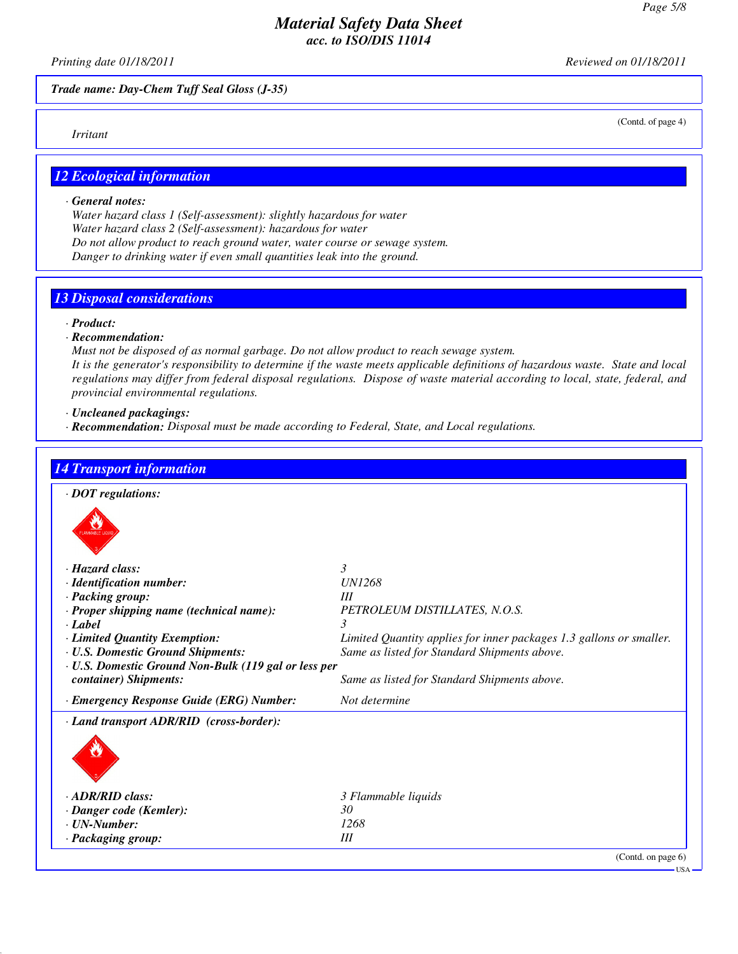*Printing date 01/18/2011 Reviewed on 01/18/2011*

*Trade name: Day-Chem Tuff Seal Gloss (J-35)*

*Irritant*

(Contd. of page 4)

# *12 Ecological information*

### *· General notes:*

*Water hazard class 1 (Self-assessment): slightly hazardous for water Water hazard class 2 (Self-assessment): hazardous for water Do not allow product to reach ground water, water course or sewage system. Danger to drinking water if even small quantities leak into the ground.*

# *13 Disposal considerations*

*· Product:*

### *· Recommendation:*

*Must not be disposed of as normal garbage. Do not allow product to reach sewage system. It is the generator's responsibility to determine if the waste meets applicable definitions of hazardous waste. State and local regulations may differ from federal disposal regulations. Dispose of waste material according to local, state, federal, and provincial environmental regulations.*

*· Uncleaned packagings:*

*· Recommendation: Disposal must be made according to Federal, State, and Local regulations.*

| <b>14 Transport information</b>                      |                                                                     |
|------------------------------------------------------|---------------------------------------------------------------------|
| $\cdot$ DOT regulations:                             |                                                                     |
|                                                      |                                                                     |
| · Hazard class:                                      | $\mathcal{E}$                                                       |
| · Identification number:                             | <b>UN1268</b>                                                       |
| · Packing group:                                     | Ш                                                                   |
| · Proper shipping name (technical name):             | PETROLEUM DISTILLATES, N.O.S.                                       |
| $\cdot$ <i>Label</i>                                 | 3                                                                   |
| · Limited Quantity Exemption:                        | Limited Quantity applies for inner packages 1.3 gallons or smaller. |
| · U.S. Domestic Ground Shipments:                    | Same as listed for Standard Shipments above.                        |
| · U.S. Domestic Ground Non-Bulk (119 gal or less per |                                                                     |
| container) Shipments:                                | Same as listed for Standard Shipments above.                        |
| · Emergency Response Guide (ERG) Number:             | Not determine                                                       |
| · Land transport ADR/RID (cross-border):             |                                                                     |
|                                                      |                                                                     |
|                                                      |                                                                     |
| · ADR/RID class:                                     | 3 Flammable liquids                                                 |
| · Danger code (Kemler):                              | 30                                                                  |
| $\cdot$ UN-Number:                                   | 1268                                                                |
| · Packaging group:                                   | III                                                                 |
|                                                      | (Contd. on page 6)                                                  |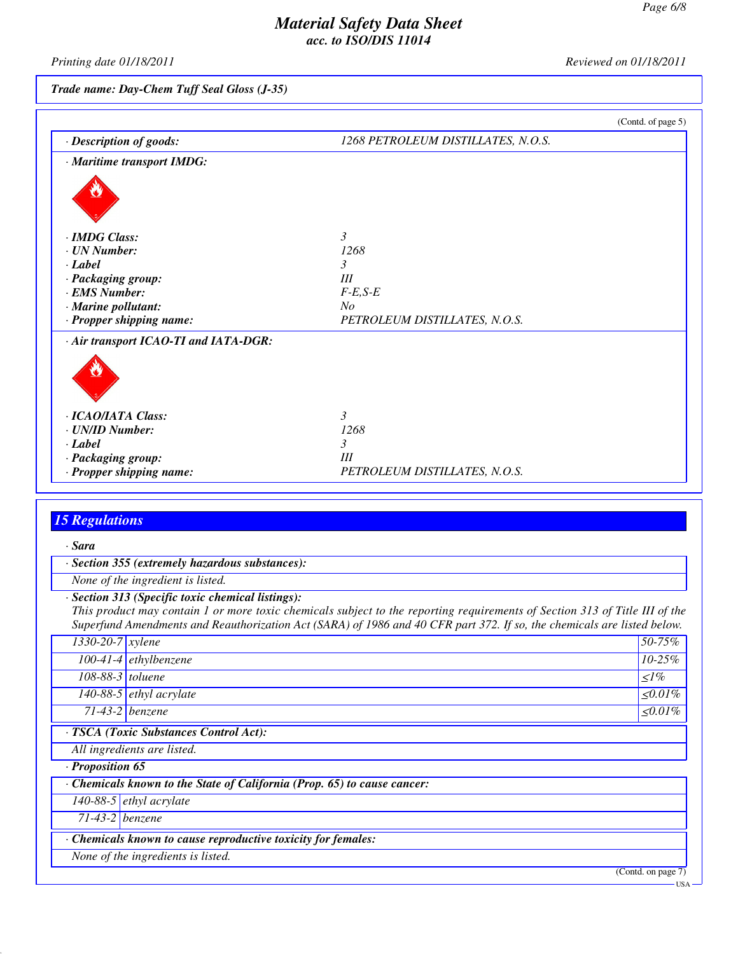*Printing date 01/18/2011 Reviewed on 01/18/2011*

# *Trade name: Day-Chem Tuff Seal Gloss (J-35)*

|                                       | (Contd. of page 5)                 |
|---------------------------------------|------------------------------------|
| · Description of goods:               | 1268 PETROLEUM DISTILLATES, N.O.S. |
| · Maritime transport IMDG:            |                                    |
|                                       |                                    |
| · <b>IMDG</b> Class:                  | 3                                  |
| · UN Number:                          | 1268                               |
| · Label                               | 3                                  |
| · Packaging group:                    | III                                |
| · EMS Number:                         | $F-E, S-E$                         |
| · Marine pollutant:                   | $N_{O}$                            |
| · Propper shipping name:              | PETROLEUM DISTILLATES, N.O.S.      |
| · Air transport ICAO-TI and IATA-DGR: |                                    |
|                                       |                                    |
| · ICAO/IATA Class:                    | 3                                  |
| · UN/ID Number:                       | 1268                               |
| $\cdot$ Label                         | 3                                  |
| · Packaging group:                    | III                                |
| · Propper shipping name:              | PETROLEUM DISTILLATES, N.O.S.      |

# *15 Regulations*

| · Sara                         |                                                                                                                                                                                                                                                        |                    |
|--------------------------------|--------------------------------------------------------------------------------------------------------------------------------------------------------------------------------------------------------------------------------------------------------|--------------------|
|                                | · Section 355 (extremely hazardous substances):                                                                                                                                                                                                        |                    |
|                                | None of the ingredient is listed.                                                                                                                                                                                                                      |                    |
|                                | · Section 313 (Specific toxic chemical listings):                                                                                                                                                                                                      |                    |
|                                | This product may contain 1 or more toxic chemicals subject to the reporting requirements of Section 313 of Title III of the<br>Superfund Amendments and Reauthorization Act (SARA) of 1986 and 40 CFR part 372. If so, the chemicals are listed below. |                    |
| $\overline{1330}$ -20-7 xylene |                                                                                                                                                                                                                                                        | 50-75%             |
|                                | $100-41-4$ ethylbenzene                                                                                                                                                                                                                                | $10 - 25\%$        |
| $108-88-3$ toluene             |                                                                                                                                                                                                                                                        | $\leq l\%$         |
|                                | 140-88-5 $ethyl$ acrylate                                                                                                                                                                                                                              | $\leq 0.01\%$      |
|                                | $71-43-2$ benzene                                                                                                                                                                                                                                      | $\leq 0.01\%$      |
|                                | · TSCA (Toxic Substances Control Act):                                                                                                                                                                                                                 |                    |
|                                | All ingredients are listed.                                                                                                                                                                                                                            |                    |
| · Proposition 65               |                                                                                                                                                                                                                                                        |                    |
|                                | Chemicals known to the State of California (Prop. 65) to cause cancer:                                                                                                                                                                                 |                    |
|                                | 140-88-5 $ethyl$ acrylate                                                                                                                                                                                                                              |                    |
| $71-43-2$ benzene              |                                                                                                                                                                                                                                                        |                    |
|                                | · Chemicals known to cause reproductive toxicity for females:                                                                                                                                                                                          |                    |
|                                | None of the ingredients is listed.                                                                                                                                                                                                                     |                    |
|                                |                                                                                                                                                                                                                                                        | (Contd. on page 7) |
|                                |                                                                                                                                                                                                                                                        | <b>USA</b>         |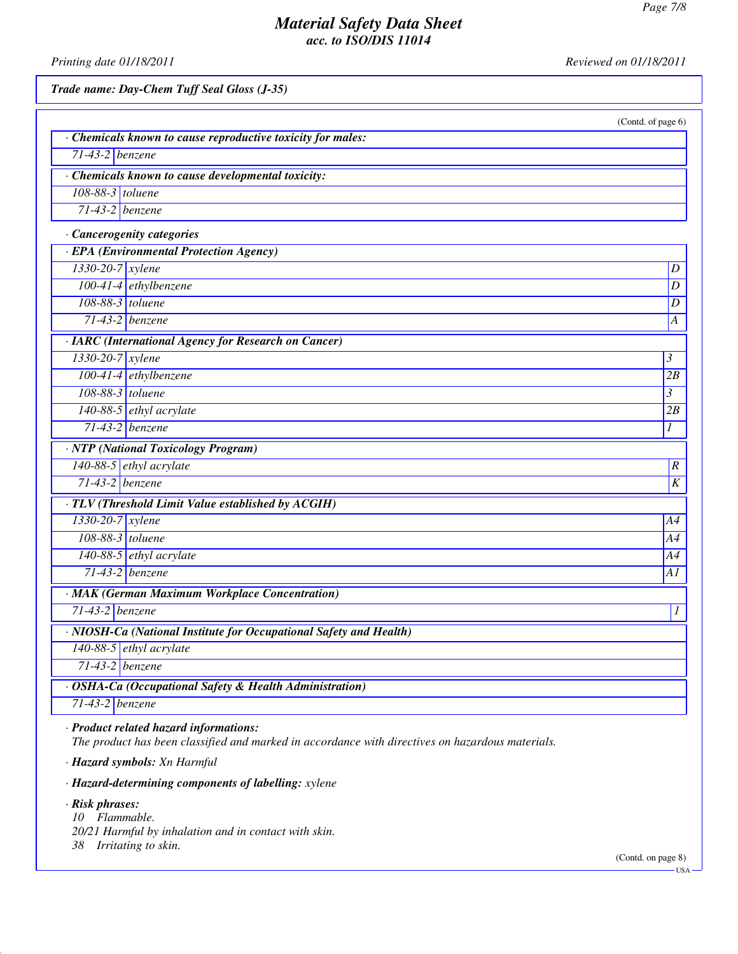*Printing date 01/18/2011 Reviewed on 01/18/2011*

*Trade name: Day-Chem Tuff Seal Gloss (J-35)*

| Chemicals known to cause reproductive toxicity for males:          |                |
|--------------------------------------------------------------------|----------------|
| $71-43-2$ benzene                                                  |                |
| · Chemicals known to cause developmental toxicity:                 |                |
| 108-88-3 toluene                                                   |                |
| $71-43-2$ benzene                                                  |                |
| · Cancerogenity categories                                         |                |
| · EPA (Environmental Protection Agency)                            |                |
| 1330-20-7 xylene                                                   |                |
| $100-41-4$ ethylbenzene                                            |                |
| 108-88-3 toluene                                                   |                |
| $71-43-2$ benzene                                                  |                |
| · IARC (International Agency for Research on Cancer)               |                |
| 1330-20-7 xylene                                                   | $\mathfrak{Z}$ |
| 100-41-4 ethylbenzene                                              | 2B             |
| 108-88-3 toluene                                                   | $\mathfrak{Z}$ |
| $140-88-5$ ethyl acrylate                                          | 2B             |
| $71-43-2$ benzene                                                  | 1              |
| · NTP (National Toxicology Program)                                |                |
| 140-88-5 ethyl acrylate                                            |                |
| $71-43-2$ benzene                                                  |                |
| · TLV (Threshold Limit Value established by ACGIH)                 |                |
| 1330-20-7 xylene                                                   | A4             |
| 108-88-3 toluene                                                   | A4             |
| 140-88-5 ethyl acrylate                                            | A4             |
| $71-43-2$ benzene                                                  | Al             |
| · MAK (German Maximum Workplace Concentration)                     |                |
| $71-43-2$ benzene                                                  |                |
| · NIOSH-Ca (National Institute for Occupational Safety and Health) |                |
| 140-88-5 ethyl acrylate                                            |                |
| $71-43-2$ benzene                                                  |                |
| · OSHA-Ca (Occupational Safety & Health Administration)            |                |
| $71-43-2$ benzene                                                  |                |

*· Hazard symbols: Xn Harmful*

*· Hazard-determining components of labelling: xylene*

*· Risk phrases:*

*10 Flammable.*

- *20/21 Harmful by inhalation and in contact with skin.*
- *38 Irritating to skin.*

(Contd. on page 8)  $-USA$